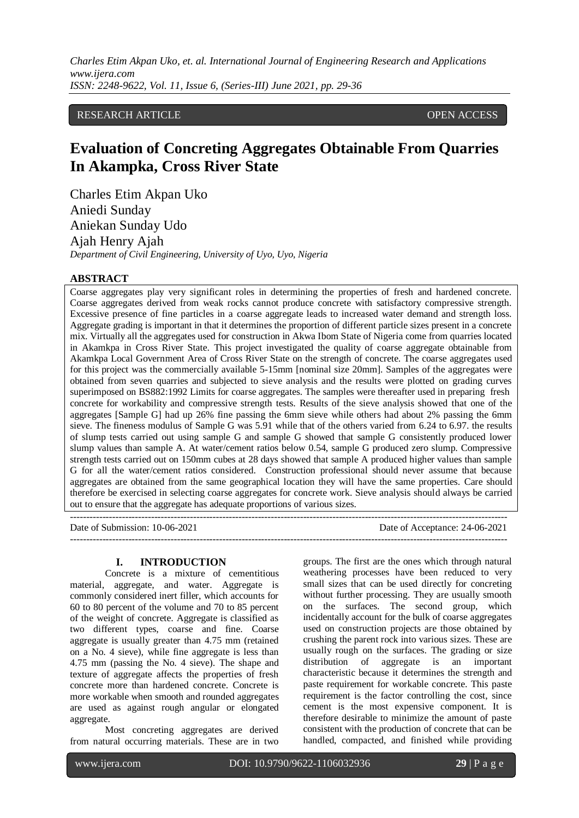# RESEARCH ARTICLE **CONTRACT ARTICLE** AND A SERVICE OPEN ACCESS OPEN ACCESS

# **Evaluation of Concreting Aggregates Obtainable From Quarries In Akampka, Cross River State**

Charles Etim Akpan Uko Aniedi Sunday Aniekan Sunday Udo Ajah Henry Ajah *Department of Civil Engineering, University of Uyo, Uyo, Nigeria*

### **ABSTRACT**

Coarse aggregates play very significant roles in determining the properties of fresh and hardened concrete. Coarse aggregates derived from weak rocks cannot produce concrete with satisfactory compressive strength. Excessive presence of fine particles in a coarse aggregate leads to increased water demand and strength loss. Aggregate grading is important in that it determines the proportion of different particle sizes present in a concrete mix. Virtually all the aggregates used for construction in Akwa Ibom State of Nigeria come from quarries located in Akamkpa in Cross River State. This project investigated the quality of coarse aggregate obtainable from Akamkpa Local Government Area of Cross River State on the strength of concrete. The coarse aggregates used for this project was the commercially available 5-15mm [nominal size 20mm]. Samples of the aggregates were obtained from seven quarries and subjected to sieve analysis and the results were plotted on grading curves superimposed on BS882:1992 Limits for coarse aggregates. The samples were thereafter used in preparing fresh concrete for workability and compressive strength tests. Results of the sieve analysis showed that one of the aggregates [Sample G] had up 26% fine passing the 6mm sieve while others had about 2% passing the 6mm sieve. The fineness modulus of Sample G was 5.91 while that of the others varied from 6.24 to 6.97. the results of slump tests carried out using sample G and sample G showed that sample G consistently produced lower slump values than sample A. At water/cement ratios below 0.54, sample G produced zero slump. Compressive strength tests carried out on 150mm cubes at 28 days showed that sample A produced higher values than sample G for all the water/cement ratios considered. Construction professional should never assume that because aggregates are obtained from the same geographical location they will have the same properties. Care should therefore be exercised in selecting coarse aggregates for concrete work. Sieve analysis should always be carried out to ensure that the aggregate has adequate proportions of various sizes.

Date of Submission: 10-06-2021 Date of Acceptance: 24-06-2021

---------------------------------------------------------------------------------------------------------------------------------------  $-1\leq i\leq n-1\leq n-1\leq n-1\leq n-1\leq n-1\leq n-1\leq n-1\leq n-1\leq n-1\leq n-1\leq n-1\leq n-1\leq n-1\leq n-1\leq n-1\leq n-1\leq n-1\leq n-1\leq n-1\leq n-1\leq n-1\leq n-1\leq n-1\leq n-1\leq n-1\leq n-1\leq n-1\leq n-1\leq n-1\leq n-1\leq n-1\leq n-1\leq n-1\leq n-1\leq n-1\leq n$ 

#### **I. INTRODUCTION**

Concrete is a mixture of cementitious material, aggregate, and water. Aggregate is commonly considered inert filler, which accounts for 60 to 80 percent of the volume and 70 to 85 percent of the weight of concrete. Aggregate is classified as two different types, coarse and fine. Coarse aggregate is usually greater than 4.75 mm (retained on a No. 4 sieve), while fine aggregate is less than 4.75 mm (passing the No. 4 sieve). The shape and texture of aggregate affects the properties of fresh concrete more than hardened concrete. Concrete is more workable when smooth and rounded aggregates are used as against rough angular or elongated aggregate.

Most concreting aggregates are derived from natural occurring materials. These are in two groups. The first are the ones which through natural weathering processes have been reduced to very small sizes that can be used directly for concreting without further processing. They are usually smooth on the surfaces. The second group, which incidentally account for the bulk of coarse aggregates used on construction projects are those obtained by crushing the parent rock into various sizes. These are usually rough on the surfaces. The grading or size distribution of aggregate is an important characteristic because it determines the strength and paste requirement for workable concrete. This paste requirement is the factor controlling the cost, since cement is the most expensive component. It is therefore desirable to minimize the amount of paste consistent with the production of concrete that can be handled, compacted, and finished while providing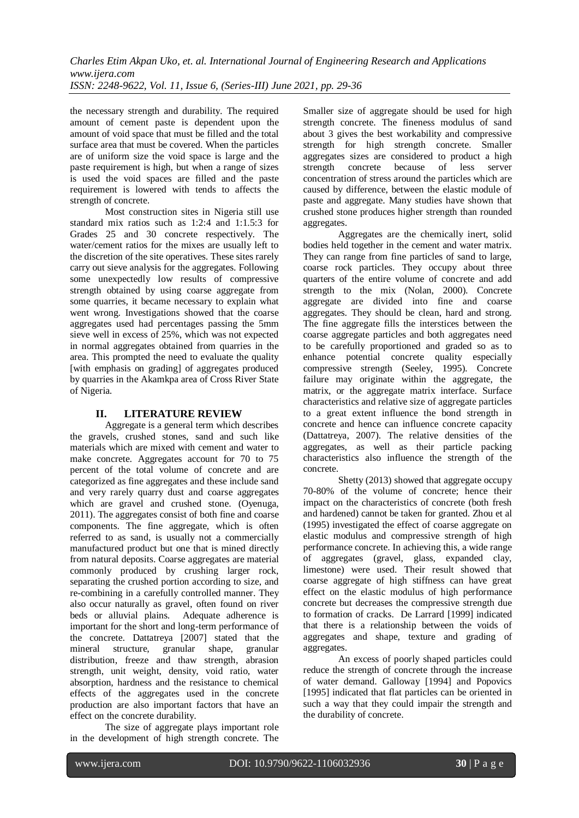the necessary strength and durability. The required amount of cement paste is dependent upon the amount of void space that must be filled and the total surface area that must be covered. When the particles are of uniform size the void space is large and the paste requirement is high, but when a range of sizes is used the void spaces are filled and the paste requirement is lowered with tends to affects the strength of concrete.

Most construction sites in Nigeria still use standard mix ratios such as 1:2:4 and 1:1.5:3 for Grades 25 and 30 concrete respectively. The water/cement ratios for the mixes are usually left to the discretion of the site operatives. These sites rarely carry out sieve analysis for the aggregates. Following some unexpectedly low results of compressive strength obtained by using coarse aggregate from some quarries, it became necessary to explain what went wrong. Investigations showed that the coarse aggregates used had percentages passing the 5mm sieve well in excess of 25%, which was not expected in normal aggregates obtained from quarries in the area. This prompted the need to evaluate the quality [with emphasis on grading] of aggregates produced by quarries in the Akamkpa area of Cross River State of Nigeria.

# **II. LITERATURE REVIEW**

Aggregate is a general term which describes the gravels, crushed stones, sand and such like materials which are mixed with cement and water to make concrete. Aggregates account for 70 to 75 percent of the total volume of concrete and are categorized as fine aggregates and these include sand and very rarely quarry dust and coarse aggregates which are gravel and crushed stone. (Oyenuga, 2011). The aggregates consist of both fine and coarse components. The fine aggregate, which is often referred to as sand, is usually not a commercially manufactured product but one that is mined directly from natural deposits. Coarse aggregates are material commonly produced by crushing larger rock, separating the crushed portion according to size, and re-combining in a carefully controlled manner. They also occur naturally as gravel, often found on river beds or alluvial plains. Adequate adherence is important for the short and long-term performance of the concrete. Dattatreya [2007] stated that the mineral structure, granular shape, granular distribution, freeze and thaw strength, abrasion strength, unit weight, density, void ratio, water absorption, hardness and the resistance to chemical effects of the aggregates used in the concrete production are also important factors that have an effect on the concrete durability.

The size of aggregate plays important role in the development of high strength concrete. The

Smaller size of aggregate should be used for high strength concrete. The fineness modulus of sand about 3 gives the best workability and compressive strength for high strength concrete. Smaller aggregates sizes are considered to product a high strength concrete because of less server concentration of stress around the particles which are caused by difference, between the elastic module of paste and aggregate. Many studies have shown that crushed stone produces higher strength than rounded aggregates.

Aggregates are the chemically inert, solid bodies held together in the cement and water matrix. They can range from fine particles of sand to large, coarse rock particles. They occupy about three quarters of the entire volume of concrete and add strength to the mix (Nolan, 2000). Concrete aggregate are divided into fine and coarse aggregates. They should be clean, hard and strong. The fine aggregate fills the interstices between the coarse aggregate particles and both aggregates need to be carefully proportioned and graded so as to enhance potential concrete quality especially compressive strength (Seeley, 1995). Concrete failure may originate within the aggregate, the matrix, or the aggregate matrix interface. Surface characteristics and relative size of aggregate particles to a great extent influence the bond strength in concrete and hence can influence concrete capacity (Dattatreya, 2007). The relative densities of the aggregates, as well as their particle packing characteristics also influence the strength of the concrete.

Shetty (2013) showed that aggregate occupy 70-80% of the volume of concrete; hence their impact on the characteristics of concrete (both fresh and hardened) cannot be taken for granted. Zhou et al (1995) investigated the effect of coarse aggregate on elastic modulus and compressive strength of high performance concrete. In achieving this, a wide range of aggregates (gravel, glass, expanded clay, limestone) were used. Their result showed that coarse aggregate of high stiffness can have great effect on the elastic modulus of high performance concrete but decreases the compressive strength due to formation of cracks. De Larrard [1999] indicated that there is a relationship between the voids of aggregates and shape, texture and grading of aggregates.

An excess of poorly shaped particles could reduce the strength of concrete through the increase of water demand. Galloway [1994] and Popovics [1995] indicated that flat particles can be oriented in such a way that they could impair the strength and the durability of concrete.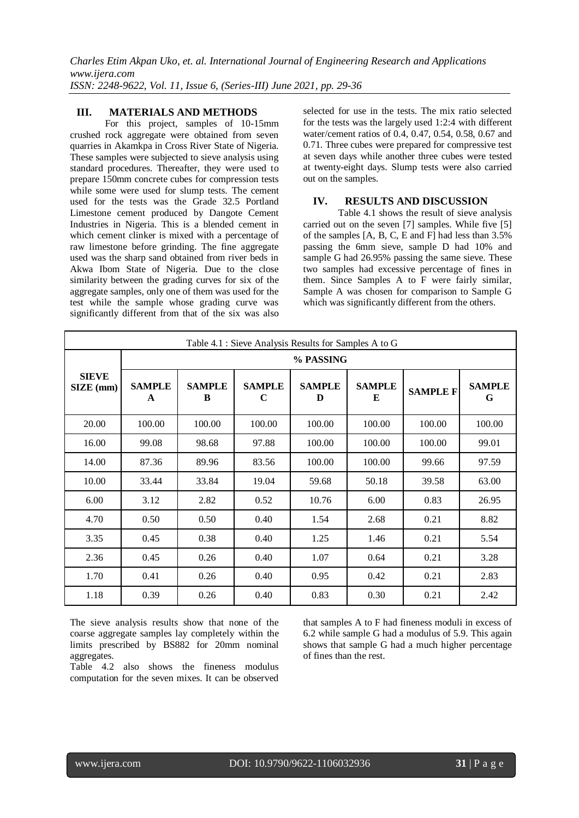## **III. MATERIALS AND METHODS**

For this project, samples of 10-15mm crushed rock aggregate were obtained from seven quarries in Akamkpa in Cross River State of Nigeria. These samples were subjected to sieve analysis using standard procedures. Thereafter, they were used to prepare 150mm concrete cubes for compression tests while some were used for slump tests. The cement used for the tests was the Grade 32.5 Portland Limestone cement produced by Dangote Cement Industries in Nigeria. This is a blended cement in which cement clinker is mixed with a percentage of raw limestone before grinding. The fine aggregate used was the sharp sand obtained from river beds in Akwa Ibom State of Nigeria. Due to the close similarity between the grading curves for six of the aggregate samples, only one of them was used for the test while the sample whose grading curve was significantly different from that of the six was also

selected for use in the tests. The mix ratio selected for the tests was the largely used 1:2:4 with different water/cement ratios of 0.4, 0.47, 0.54, 0.58, 0.67 and 0.71. Three cubes were prepared for compressive test at seven days while another three cubes were tested at twenty-eight days. Slump tests were also carried out on the samples.

## **IV. RESULTS AND DISCUSSION**

Table 4.1 shows the result of sieve analysis carried out on the seven [7] samples. While five [5] of the samples [A, B, C, E and F] had less than 3.5% passing the 6mm sieve, sample D had 10% and sample G had 26.95% passing the same sieve. These two samples had excessive percentage of fines in them. Since Samples A to F were fairly similar, Sample A was chosen for comparison to Sample G which was significantly different from the others.

| Table 4.1 : Sieve Analysis Results for Samples A to G |                    |                    |                    |                    |                    |                 |                    |  |
|-------------------------------------------------------|--------------------|--------------------|--------------------|--------------------|--------------------|-----------------|--------------------|--|
|                                                       | % PASSING          |                    |                    |                    |                    |                 |                    |  |
| <b>SIEVE</b><br>SIZE (mm)                             | <b>SAMPLE</b><br>A | <b>SAMPLE</b><br>B | <b>SAMPLE</b><br>C | <b>SAMPLE</b><br>D | <b>SAMPLE</b><br>E | <b>SAMPLE F</b> | <b>SAMPLE</b><br>G |  |
| 20.00                                                 | 100.00             | 100.00             | 100.00             | 100.00             | 100.00             | 100.00          | 100.00             |  |
| 16.00                                                 | 99.08              | 98.68              | 97.88              | 100.00             | 100.00             | 100.00          | 99.01              |  |
| 14.00                                                 | 87.36              | 89.96              | 83.56              | 100.00             | 100.00             | 99.66           | 97.59              |  |
| 10.00                                                 | 33.44              | 33.84              | 19.04              | 59.68              | 50.18              | 39.58           | 63.00              |  |
| 6.00                                                  | 3.12               | 2.82               | 0.52               | 10.76              | 6.00               | 0.83            | 26.95              |  |
| 4.70                                                  | 0.50               | 0.50               | 0.40               | 1.54               | 2.68               | 0.21            | 8.82               |  |
| 3.35                                                  | 0.45               | 0.38               | 0.40               | 1.25               | 1.46               | 0.21            | 5.54               |  |
| 2.36                                                  | 0.45               | 0.26               | 0.40               | 1.07               | 0.64               | 0.21            | 3.28               |  |
| 1.70                                                  | 0.41               | 0.26               | 0.40               | 0.95               | 0.42               | 0.21            | 2.83               |  |
| 1.18                                                  | 0.39               | 0.26               | 0.40               | 0.83               | 0.30               | 0.21            | 2.42               |  |

The sieve analysis results show that none of the coarse aggregate samples lay completely within the limits prescribed by BS882 for 20mm nominal aggregates.

Table 4.2 also shows the fineness modulus computation for the seven mixes. It can be observed that samples A to F had fineness moduli in excess of 6.2 while sample G had a modulus of 5.9. This again shows that sample G had a much higher percentage of fines than the rest.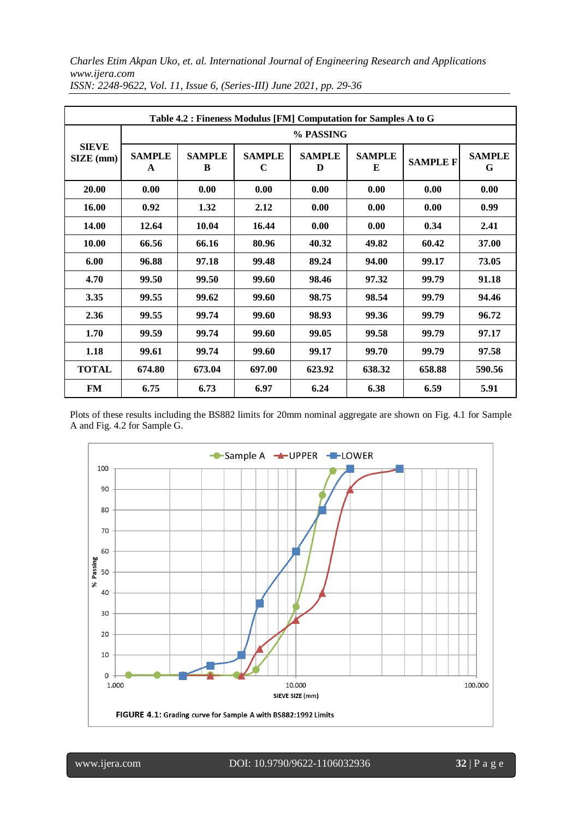*Charles Etim Akpan Uko, et. al. International Journal of Engineering Research and Applications www.ijera.com*

| Table 4.2 : Fineness Modulus [FM] Computation for Samples A to G |                    |                    |                    |                    |                    |                 |                    |  |
|------------------------------------------------------------------|--------------------|--------------------|--------------------|--------------------|--------------------|-----------------|--------------------|--|
|                                                                  | % PASSING          |                    |                    |                    |                    |                 |                    |  |
| <b>SIEVE</b><br>SIZE (mm)                                        | <b>SAMPLE</b><br>A | <b>SAMPLE</b><br>B | <b>SAMPLE</b><br>C | <b>SAMPLE</b><br>D | <b>SAMPLE</b><br>E | <b>SAMPLE F</b> | <b>SAMPLE</b><br>G |  |
| 20.00                                                            | 0.00               | 0.00               | 0.00               | 0.00               | 0.00               | 0.00            | 0.00               |  |
| 16.00                                                            | 0.92               | 1.32               | 2.12               | 0.00               | 0.00               | 0.00            | 0.99               |  |
| 14.00                                                            | 12.64              | 10.04              | 16.44              | 0.00               | 0.00               | 0.34            | 2.41               |  |
| 10.00                                                            | 66.56              | 66.16              | 80.96              | 40.32              | 49.82              | 60.42           | 37.00              |  |
| 6.00                                                             | 96.88              | 97.18              | 99.48              | 89.24              | 94.00              | 99.17           | 73.05              |  |
| 4.70                                                             | 99.50              | 99.50              | 99.60              | 98.46              | 97.32              | 99.79           | 91.18              |  |
| 3.35                                                             | 99.55              | 99.62              | 99.60              | 98.75              | 98.54              | 99.79           | 94.46              |  |
| 2.36                                                             | 99.55              | 99.74              | 99.60              | 98.93              | 99.36              | 99.79           | 96.72              |  |
| 1.70                                                             | 99.59              | 99.74              | 99.60              | 99.05              | 99.58              | 99.79           | 97.17              |  |
| 1.18                                                             | 99.61              | 99.74              | 99.60              | 99.17              | 99.70              | 99.79           | 97.58              |  |
| <b>TOTAL</b>                                                     | 674.80             | 673.04             | 697.00             | 623.92             | 638.32             | 658.88          | 590.56             |  |
| <b>FM</b>                                                        | 6.75               | 6.73               | 6.97               | 6.24               | 6.38               | 6.59            | 5.91               |  |

*ISSN: 2248-9622, Vol. 11, Issue 6, (Series-III) June 2021, pp. 29-36*

Plots of these results including the BS882 limits for 20mm nominal aggregate are shown on Fig. 4.1 for Sample A and Fig. 4.2 for Sample G.



www.ijera.com DOI: 10.9790/9622-1106032936 **32** | P a g e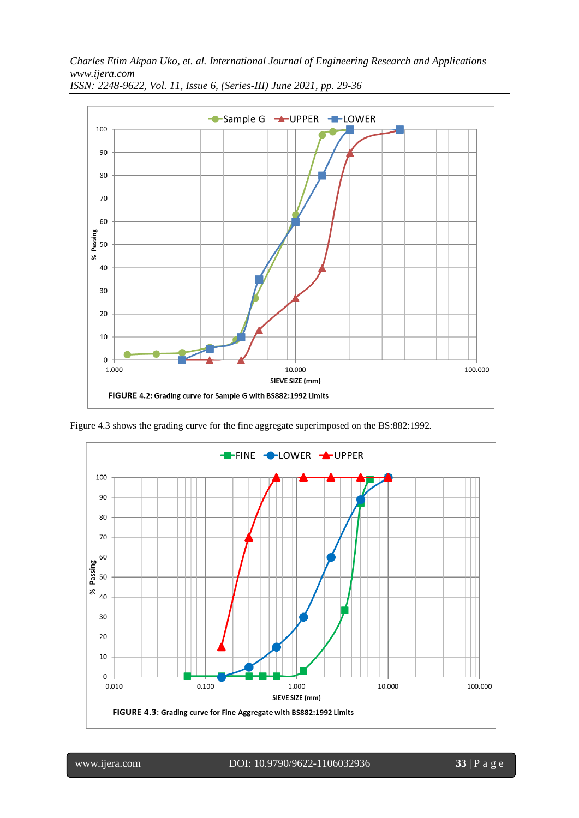*Charles Etim Akpan Uko, et. al. International Journal of Engineering Research and Applications www.ijera.com*



*ISSN: 2248-9622, Vol. 11, Issue 6, (Series-III) June 2021, pp. 29-36*

Figure 4.3 shows the grading curve for the fine aggregate superimposed on the BS:882:1992.



www.ijera.com DOI: 10.9790/9622-1106032936 **33** | P a g e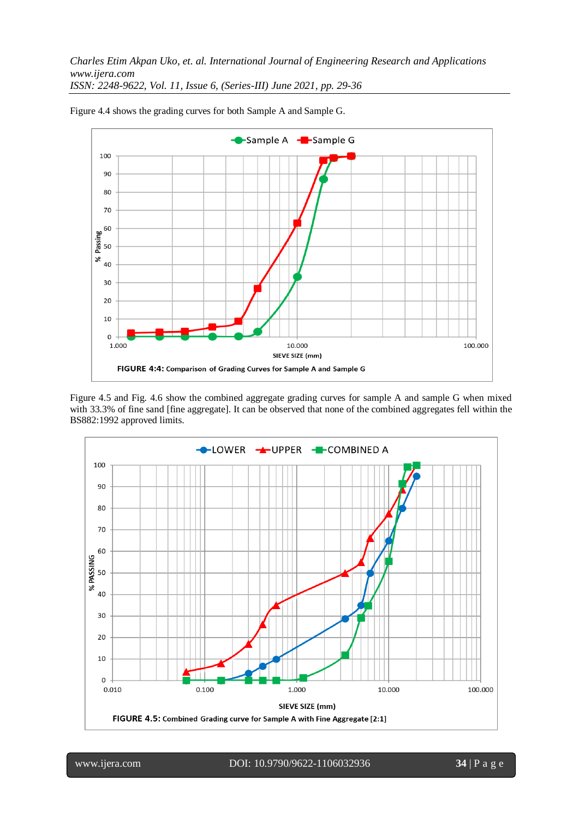

Figure 4.4 shows the grading curves for both Sample A and Sample G.

Figure 4.5 and Fig. 4.6 show the combined aggregate grading curves for sample A and sample G when mixed with 33.3% of fine sand [fine aggregate]. It can be observed that none of the combined aggregates fell within the BS882:1992 approved limits.

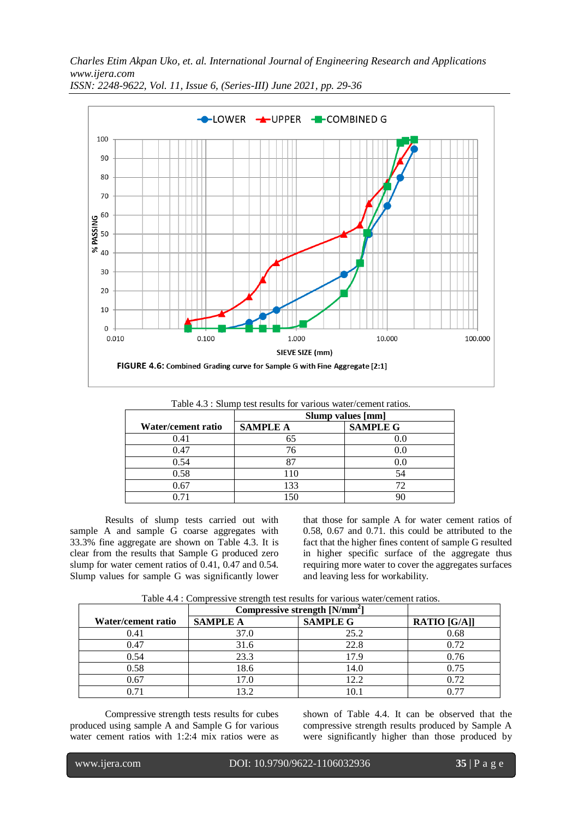*Charles Etim Akpan Uko, et. al. International Journal of Engineering Research and Applications www.ijera.com*



*ISSN: 2248-9622, Vol. 11, Issue 6, (Series-III) June 2021, pp. 29-36*

|                    | Table +.5". Shump test results for various water/centent ratios.<br>Slump values [mm] |                 |  |  |
|--------------------|---------------------------------------------------------------------------------------|-----------------|--|--|
| Water/cement ratio | <b>SAMPLE A</b>                                                                       | <b>SAMPLE G</b> |  |  |
| 0.41               |                                                                                       |                 |  |  |
| 0.47               | 76                                                                                    | $0.0\,$         |  |  |
| 0.54               |                                                                                       | $0.0\,$         |  |  |
| 0.58               | 110                                                                                   | 54              |  |  |
| 0.67               | 133                                                                                   |                 |  |  |
|                    |                                                                                       |                 |  |  |

Table  $4.3 \cdot$  Slump test results for various water/cement ratios.

Results of slump tests carried out with sample A and sample G coarse aggregates with 33.3% fine aggregate are shown on Table 4.3. It is clear from the results that Sample G produced zero slump for water cement ratios of 0.41, 0.47 and 0.54. Slump values for sample G was significantly lower that those for sample A for water cement ratios of 0.58, 0.67 and 0.71. this could be attributed to the fact that the higher fines content of sample G resulted in higher specific surface of the aggregate thus requiring more water to cover the aggregates surfaces and leaving less for workability.

Table 4.4 : Compressive strength test results for various water/cement ratios.

|                    | Compressive strength [N/mm <sup>2</sup> ] |                 |                     |
|--------------------|-------------------------------------------|-----------------|---------------------|
| Water/cement ratio | <b>SAMPLE A</b>                           | <b>SAMPLE G</b> | <b>RATIO</b> [G/A]] |
| 0.41               | 37.0                                      | 25.2            | 0.68                |
| 0.47               | 31.6                                      | 22.8            | 0.72                |
| 0.54               | 23.3                                      | 17.9            | 0.76                |
| 0.58               | 18.6                                      | 14.0            | 0.75                |
| 0.67               | 17.0                                      | 12.2            | 0.72                |
|                    |                                           |                 |                     |

Compressive strength tests results for cubes produced using sample A and Sample G for various water cement ratios with 1:2:4 mix ratios were as

shown of Table 4.4. It can be observed that the compressive strength results produced by Sample A were significantly higher than those produced by